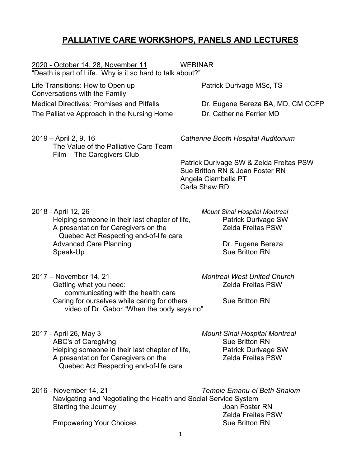# **PALLIATIVE CARE WORKSHOPS, PANELS AND LECTURES**

2020 - October 14, 28, November 11 WEBINAR "Death is part of Life. Why is it so hard to talk about?"

Life Transitions: How to Open up **Patrick Durivage MSc, TS** Conversations with the Family Medical Directives: Promises and Pitfalls **Dr. Eugene Bereza BA, MD, CM CCFP** 

The Palliative Approach in the Nursing Home Dr. Catherine Ferrier MD

The Value of the Palliative Care Team Film – The Caregivers Club

2019 – April 2, 9, 16 *Catherine Booth Hospital Auditorium*

Patrick Durivage SW & Zelda Freitas PSW Sue Britton RN & Joan Foster RN Angela Ciambella PT Carla Shaw RD

Helping someone in their last chapter of life, The Patrick Durivage SW<br>A presentation for Caregivers on the The Patrick PSW A presentation for Caregivers on the Quebec Act Respecting end-of-life care Advanced Care Planning **Dr. Eugene Bereza** Speak-Up Speak-Up Sue Britton RN

2018 - April 12, 26 *Mount Sinai Hospital Montreal*

2017 – November 14, 21 *Montreal West United Church* Getting what you need: The Contract Contract Contract Zelda Freitas PSW communicating with the health care Caring for ourselves while caring for others Sue Britton RN video of Dr. Gabor "When the body says no"

2017 - April 26, May 3 *Mount Sinai Hospital Montreal* 

ABC's of Caregiving and Sue Britton RN Helping someone in their last chapter of life, Patrick Durivage SW<br>A presentation for Caregivers on the Zelda Freitas PSW A presentation for Caregivers on the Quebec Act Respecting end-of-life care

2016 - November 14, 21 *Temple Emanu-el Beth Shalom* Navigating and Negotiating the Health and Social Service System Starting the Journey **Starting the Journey Act 10** Starting the Joan Foster RN Zelda Freitas PSW **Empowering Your Choices** Sue Britton RN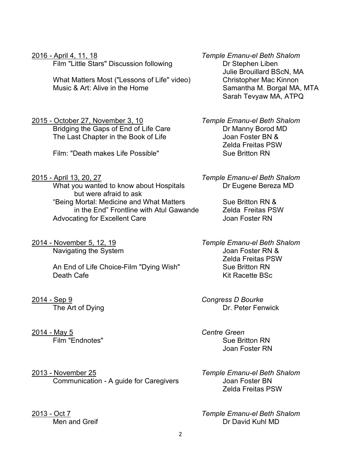2

2016 - April 4, 11, 18 *Temple Emanu-el Beth Shalom* Film "Little Stars" Discussion following The Dr Stephen Liben Julie Brouillard BScN, MA What Matters Most ("Lessons of Life" video) Christopher Mac Kinnon<br>Music & Art: Alive in the Home Samantha M. Borgal MA. Samantha M. Borgal MA, MTA Sarah Tevyaw MA, ATPQ

2015 - October 27, November 3, 10 *Temple Emanu-el Beth Shalom* Bridging the Gaps of End of Life Care Dr Manny Borod MD<br>The Last Chapter in the Book of Life Joan Foster BN & Zelda Freitas PSW Film: "Death makes Life Possible" Sue Britton RN

2015 - April 13, 20, 27 *Temple Emanu-el Beth Shalom* What you wanted to know about Hospitals **Dream Containst Dream Example 2** Dream MD

Zelda Freitas PSW

2014 - Sep 9 *Congress D Bourke* The Art of Dying **Dr. Peter Fenwick** 

Film "Endnotes" Sue Britton RN Joan Foster RN

Zelda Freitas PSW

2013 - Oct 7 *Temple Emanu-el Beth Shalom* Dr David Kuhl MD

2013 - November 25 *Temple Emanu-el Beth Shalom* Communication - A guide for Caregivers **Following Communication - A guide for Caregivers** 

Navigating the System

Death Cafe **Kit Racette BSc** 

2014 - May 5 *Centre Green*

but were afraid to ask "Being Mortal: Medicine and What Matters Sue Britton RN & in the End" Frontline with Atul Gawande Zelda Freitas PSW Advocating for Excellent Care **Accellent Care** Joan Foster RN

An End of Life Choice-Film "Dying Wish" Sue Britton RN

The Last Chapter in the Book of Life

2014 - November 5, 12, 19 *Temple Emanu-el Beth Shalom*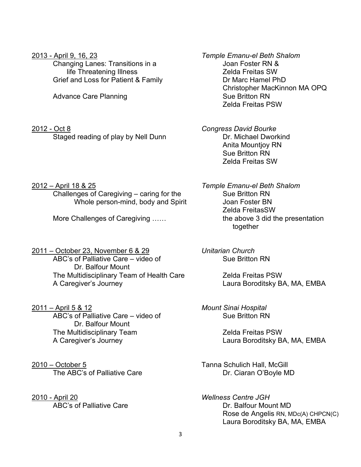Changing Lanes: Transitions in a Joan Foster RN & life Threatening Illness Grief and Loss for Patient & Family Dr Marc Hamel PhD

Advance Care Planning **Sue Britton RN** Sue Britton RN

2012 - Oct 8 *Congress David Bourke* Staged reading of play by Nell Dunn Dr. Michael Dworkind

2013 - April 9, 16, 23 *Temple Emanu-el Beth Shalom* Christopher MacKinnon MA OPQ Zelda Freitas PSW

> Anita Mountjoy RN Sue Britton RN Zelda Freitas SW

2012 – April 18 & 25 *Temple Emanu-el Beth Shalom* Challenges of Caregiving – caring for the Sue Britton RN Whole person-mind, body and Spirit Joan Foster BN

2011 – October 23, November 6 & 29 *Unitarian Church* ABC's of Palliative Care – video of Sue Britton RN Dr. Balfour Mount The Multidisciplinary Team of Health Care Zelda Freitas PSW A Caregiver's Journey Laura Boroditsky BA, MA, EMBA

2011 – April 5 & 12 *Mount Sinai Hospital* ABC's of Palliative Care – video of Dr. Balfour Mount The Multidisciplinary Team The Multidisciplinary Team A Caregiver's Journey Laura Boroditsky BA, MA, EMBA

2010 – October 5 Tanna Schulich Hall, McGill

2010 - April 20 *Wellness Centre JGH*

Zelda FreitasSW More Challenges of Caregiving ...... The above 3 did the presentation together

The ABC's of Palliative Care **Dr. Ciaran O'Boyle MD** 

ABC's of Palliative Care **Dr. Balfour Mount MD** Rose de Angelis RN, MDc(A) CHPCN(C) Laura Boroditsky BA, MA, EMBA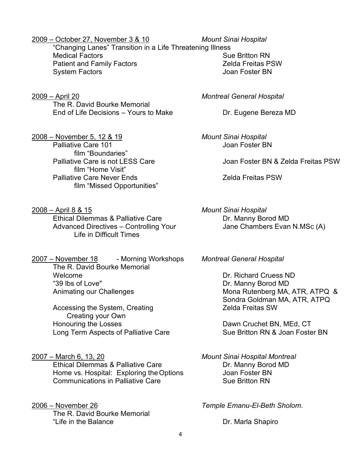2009 – October 27, November 3 & 10 *Mount Sinai Hospital*

"Changing Lanes" Transition in a Life Threatening Illness **Medical Factors Sue Britton RN** Patient and Family Factors Zelda Freitas PSW System Factors

2009 – April 20 *Montreal General Hospital* The R. David Bourke Memorial End of Life Decisions – Yours to Make Dr. Eugene Bereza MD

2008 – November 5, 12 & 19 *Mount Sinai Hospital* Palliative Care 101 **Discriming the Care 101** Joan Foster BN film "Boundaries" film "Home Visit" Palliative Care Never Ends **Zelda Freitas PSW** film "Missed Opportunities"

2008 – April 8 & 15 *Mount Sinai Hospital* Ethical Dilemmas & Palliative Care **DR. Manny Borod MD** Advanced Directives – Controlling Your Jane Chambers Evan N.MSc (A) Life in Difficult Times

2007 – November 18 - Morning Workshops *Montreal General Hospital* The R. David Bourke Memorial Welcome Dr. Richard Cruess ND Animating our Challenges Mona Rutenberg MA, ATR, ATPQ &

Accessing the System, Creating The Controller and Treitas SW Creating your Own Honouring the Losses **Example 20** Exercise Dawn Cruchet BN, MEd, CT Long Term Aspects of Palliative Care Sue Britton RN & Joan Foster BN

2007 – March 6, 13, 20 *Mount Sinai Hospital Montreal* Ethical Dilemmas & Palliative Care **DR. Manny Borod MD** Home vs. Hospital: Exploring the Options Joan Foster BN Communications in Palliative Care Sue Britton RN

2006 – November 26 *Temple Emanu-El-Beth Sholom*. The R. David Bourke Memorial "Life in the Balance The Calculus Control of the Balance Dr. Marla Shapiro

Palliative Care is not LESS Care **Joan Foster BN & Zelda Freitas PSW** 

Dr. Manny Borod MD Sondra Goldman MA, ATR, ATPQ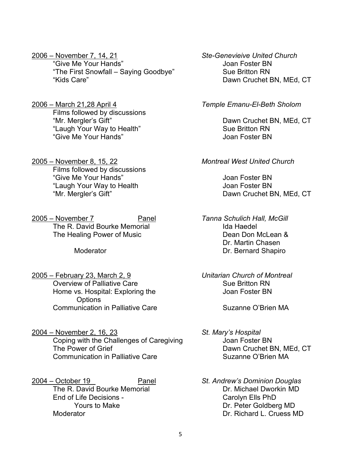2006 – November 7, 14, 21 *Ste-Genevieive United Church* "Give Me Your Hands" Joan Foster BN "The First Snowfall – Saying Goodbye" Sue Britton RN "Kids Care" Dawn Cruchet BN, MEd, CT

2006 – March 21,28 April 4 *Temple Emanu-El-Beth Sholom* Films followed by discussions "Mr. Mergler's Gift" Dawn Cruchet BN, MEd, CT "Laugh Your Way to Health" Sue Britton RN "Give Me Your Hands"

2005 – November 8, 15, 22 *Montreal West United Church* Films followed by discussions "Give Me Your Hands" Joan Foster BN "Laugh Your Way to Health **Internal Control** Joan Foster BN "Mr. Mergler's Gift" Dawn Cruchet BN, MEd, CT

2005 – November 7 Panel *Tanna Schulich Hall, McGill* The R. David Bourke Memorial **Internal Ida Haedel** The Healing Power of Music **Network Contract Contract Dean Don McLean &** 

- 2005 February 23, March 2, 9 *Unitarian Church of Montreal* Overview of Palliative Care Sue Britton RN Home vs. Hospital: Exploring the **Interpretent Contract Contract Provide** Joan Foster BN **Options** Communication in Palliative Care The Suzanne O'Brien MA
- 2004 November 2, 16, 23 *St. Mary's Hospital* Coping with the Challenges of Caregiving Foster BN<br>The Power of Grief Stephen Challenges of Caregiving The Power of Grief B Communication in Palliative Care The Suzanne O'Brien MA

2004 – October 19 Panel *St. Andrew's Dominion Douglas* The R. David Bourke Memorial End of Life Decisions - Carolyn Ells PhD

- Dr. Martin Chasen Moderator **Dr. Bernard Shapiro** 
	-

Dawn Cruchet BN, MEd, CT

Yours to Make **Dr. Peter Goldberg MD** Moderator Dr. Richard L. Cruess MD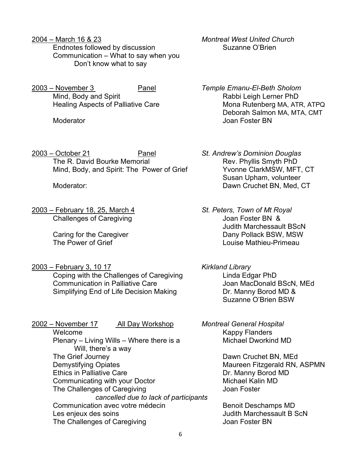- 2004 March 16 & 23 *Montreal West United Church* Endnotes followed by discussion Suzanne O'Brien Communication – What to say when you Don't know what to say
- 2003 November 3 Panel *Temple Emanu-El-Beth Sholom* Mind, Body and Spirit **Rabbi Leigh Lerner PhD**

2003 – October 21 Panel *St. Andrew's Dominion Douglas* The R. David Bourke Memorial The R. David Bourke Memorial<br>Mind. Body. and Spirit: The Power of Grief The Yyonne ClarkMSW. MFT. CT Mind, Body, and Spirit: The Power of Grief

2003 – February 18, 25, March 4 *St. Peters, Town of Mt Royal* Challenges of Caregiving Challenges of Caregiving Challenges of Caregiving

2003 – February 3, 10 17 *Kirkland Library*

Coping with the Challenges of Caregiving Elinda Edgar PhD Communication in Palliative Care **Care Care Communication In Palliative Care** Simplifying End of Life Decision Making **Dr. Manny Borod MD &** 

2002 – November 17 All Day Workshop *Montreal General Hospital* Welcome **Kappy Flanders** Plenary – Living Wills – Where there is a Michael Dworkind MD Will, there's a way The Grief Journey **Dawn Cruchet BN, MEd** Demystifying Opiates Maureen Fitzgerald RN, ASPMN Ethics in Palliative Care Dr. Manny Borod MD Communicating with your Doctor Michael Kalin MD The Challenges of Caregiving *cancelled due to lack of participants* Communication avec votre médecin entrants de Benoit Deschamps MD Les enjeux des soins Judith Marchessault B ScN The Challenges of Caregiving The Challenges of Caregiving

- Healing Aspects of Palliative Care Mona Rutenberg MA, ATR, ATPQ Deborah Salmon MA, MTA, CMT Moderator Joan Foster BN
- Susan Upham, volunteer Moderator:  $\blacksquare$  Dawn Cruchet BN, Med, CT
- Judith Marchessault BScN Caring for the Caregiver **Caring for the Caregiver Caring Structure Caring Caring Caring Caring Caring Caring C**<br>Couise Mathieu-Primeau Louise Mathieu-Primeau
	- Suzanne O'Brien BSW
	-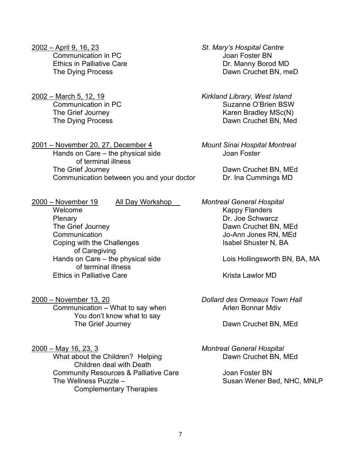- 2002 April 9, 16, 23 *St. Mary's Hospital Centre* **Communication in PC** Communication in PC
- 

2001 – November 20, 27, December 4 *Mount Sinai Hospital Montreal*  Hands on Care – the physical side Figure 3 Joan Foster of terminal illness The Grief Journey **Dawn Cruchet BN, MEd** Communication between you and your doctor **Dr. Ina Cummings MD** 

Ethics in Palliative Care **Dr. Manny Borod MD** The Dying Process **Dawn Cruchet BN, meD** 

2002 – March 5, 12, 19 *Kirkland Library, West Island* Suzanne O'Brien BSW The Grief Journey The Grief Journey and American Changes Assembly MSc(N) The Dying Process **Dawn Cruchet BN, Med** 

Welcome **Kappy Flanders** Plenary Dr. Joe Schwarcz The Grief Journey **Dawn Cruchet BN, MEd** Communication<br>
Coping with the Challenges<br>
Coping with the Challenges<br>
Coping with the Challenges<br>
Copyright in the Challenges<br>
Copyright is abel Shuster N, BA Coping with the Challenges of Caregiving Hands on Care – the physical side Lois Hollingsworth BN, BA, MA of terminal illness Ethics in Palliative Care **Arrival Contract Contract Contract Contract Contract Contract Contract Contract Contr** 

Communication – What to say when Arlen Bonnar Mdiv

You don't know what to say The Grief Journey **Dawn Cruchet BN, MEd** 

2000 – May 16, 23, 3 *Montreal General Hospital* What about the Children? Helping Dawn Cruchet BN, MEd Children deal with Death Community Resources & Palliative Care **Secure 12** Joan Foster BN The Wellness Puzzle – Susan Wener Bed, NHC, MNLP Complementary Therapies

2000 – November 19 All Day Workshop *Montreal General Hospital*

2000 – November 13, 20 *Dollard des Ormeaux Town Hall*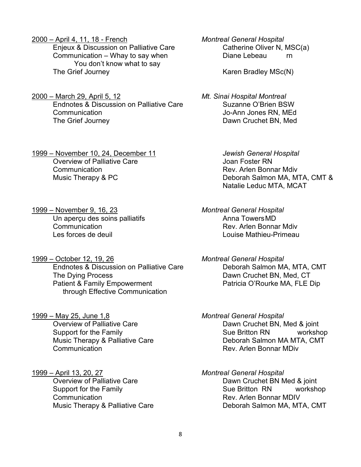2000 – April 4, 11, 18 - French *Montreal General Hospital*

Communication – Whay to say when Diane Lebeau rn You don't know what to say The Grief Journey The Grief Journey and American Control of Karen Bradley MSc(N)

2000 – March 29, April 5, 12 *Mt. Sinai Hospital Montreal* Endnotes & Discussion on Palliative Care Communication Jo-Ann Jones RN, MEd The Grief Journey **Dawn Cruchet BN, Med** 

1999 – November 10, 24, December 11 *Jewish General Hospital* Overview of Palliative Care **Care Care Contract Contract Contract Contract Contract Contract Contract Contract Contract Contract Contract Contract Contract Contract Contract Contract Contract Contract Contract Contract Con Communication Rev. Arlen Bonnar Mdiv** 

1999 – November 9, 16, 23 *Montreal General Hospital* Un aperçu des soins palliatifs **Communication Communication** Communication Rev. Arlen Bonnar Mdiv Les forces de deuil Louise Mathieu-Primeau

1999 – October 12, 19, 26 *Montreal General Hospital* Endnotes & Discussion on Palliative Care **Deborah Salmon MA, MTA, CMT** The Dying Process The Dawn Cruchet BN, Med, CT Patient & Family Empowerment **Patricia O'Rourke MA, FLE Dip** through Effective Communication

- 1999 May 25, June 1,8 *Montreal General Hospital* **Communication Rev. Arlen Bonnar MDiv**
- 1999 April 13, 20, 27 *Montreal General Hospital*

Enjeux & Discussion on Palliative Care Catherine Oliver N, MSC(a)

Music Therapy & PC **Deborah Salmon MA, MTA, CMT &** Natalie Leduc MTA, MCAT

Dawn Cruchet BN, Med & joint Support for the Family Sue Britton RN workshop Music Therapy & Palliative Care **Each Care Communist Control** Deborah Salmon MA MTA, CMT

Dawn Cruchet BN Med & joint<br>Sue Britton RN merksh Support for the Family Support for the Family Sue Britton RN workshop Communication Rev. Arlen Bonnar MDIV Music Therapy & Palliative Care **Deborah Salmon MA, MTA, CMT**